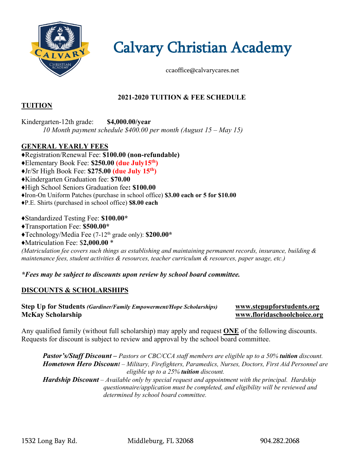

Calvary Christian Academy

ccaoffice@calvarycares.net

# **2021-2020 TUITION & FEE SCHEDULE**

#### **TUITION**

Kindergarten-12th grade: **\$4,000.00/year** *10 Month payment schedule \$400.00 per month (August 15 – May 15)*

## **GENERAL YEARLY FEES**

♦Registration/Renewal Fee: **\$100.00 (non-refundable)** ♦Elementary Book Fee: **\$250.00 (due July15th)** ♦Jr/Sr High Book Fee: **\$275.00 (due July 15th)** ♦Kindergarten Graduation fee: **\$70.00** ♦High School Seniors Graduation fee**: \$100.00** *♦*Iron-On Uniform Patches (purchase in school office) **\$3.00 each or 5 for \$10.00**

♦P.E. Shirts (purchased in school office) **\$8.00 each**

♦Standardized Testing Fee: **\$100.00\***

- ♦Transportation Fee: **\$500.00\***
- ♦Technology/Media Fee (7-12th grade only): **\$200.00\***
- ♦Matriculation Fee: \$**2,000.00** \*

*(Matriculation fee covers such things as establishing and maintaining permanent records, insurance, building & maintenance fees, student activities & resources, teacher curriculum & resources, paper usage, etc.)*

*\*Fees may be subject to discounts upon review by school board committee.*

## **DISCOUNTS & SCHOLARSHIPS**

**Step Up for Students** *(Gardiner/Family Empowerment/Hope Scholarships)* **[www.stepupforstudents.org](http://www.stepupforstudents.org/) McKay Scholarship [www.floridaschoolchoice.org](http://www.floridaschoolchoice.org/)**

Any qualified family (without full scholarship) may apply and request **ONE** of the following discounts. Requests for discount is subject to review and approval by the school board committee.

*Pastor's/Staff Discount – Pastors or CBC/CCA staff members are eligible up to a 50% tuition discount. Hometown Hero Discount – Military, Firefighters, Paramedics, Nurses, Doctors, First Aid Personnel are eligible up to a 25% tuition discount.*

*Hardship Discount – Available only by special request and appointment with the principal. Hardship questionnaire/application must be completed, and eligibility will be reviewed and determined by school board committee.*